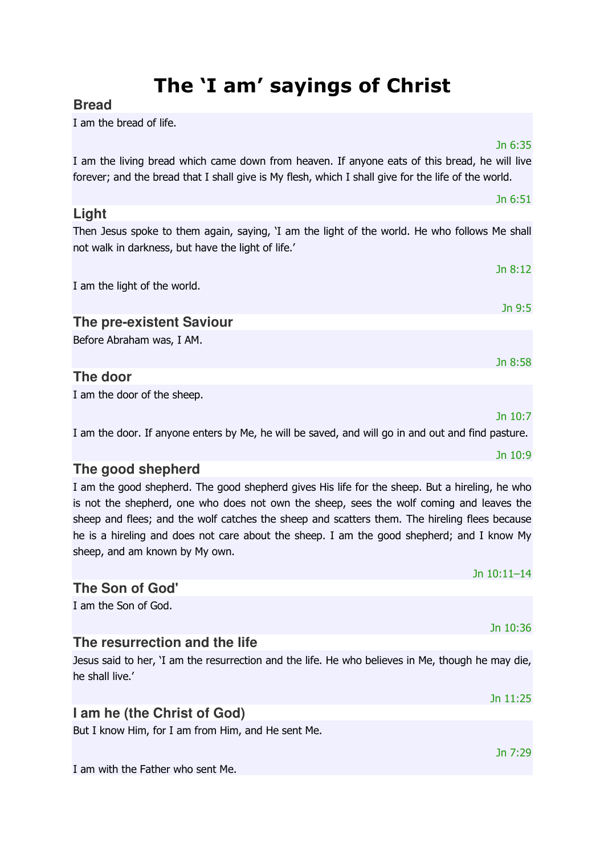# The 'I am' sayings of Christ

## **Bread**

I am the bread of life.

Jn 6:35

Jn 6:51

Jn 9:5

I am the living bread which came down from heaven. If anyone eats of this bread, he will live forever; and the bread that I shall give is My flesh, which I shall give for the life of the world.

### **Light**  Then Jesus spoke to them again, saying, 'I am the light of the world. He who follows Me shall not walk in darkness, but have the light of life.'

Jn 8:12 I am the light of the world.

## **The pre-existent Saviour**

Before Abraham was, I AM.

## **The door**

I am the door of the sheep.

Jn 10:7

Jn 8:58

I am the door. If anyone enters by Me, he will be saved, and will go in and out and find pasture.

## **The good shepherd**

I am the good shepherd. The good shepherd gives His life for the sheep. But a hireling, he who is not the shepherd, one who does not own the sheep, sees the wolf coming and leaves the sheep and flees; and the wolf catches the sheep and scatters them. The hireling flees because he is a hireling and does not care about the sheep. I am the good shepherd; and I know My sheep, and am known by My own.

## Jn 10:11–14 **The Son of God'**  I am the Son of God. Jn 10:36 **The resurrection and the life**  Jesus said to her, 'I am the resurrection and the life. He who believes in Me, though he may die, he shall live.' Jn 11:25

## **I am he (the Christ of God)**

But I know Him, for I am from Him, and He sent Me.

I am with the Father who sent Me.

#### Jn 10:9

Jn 7:29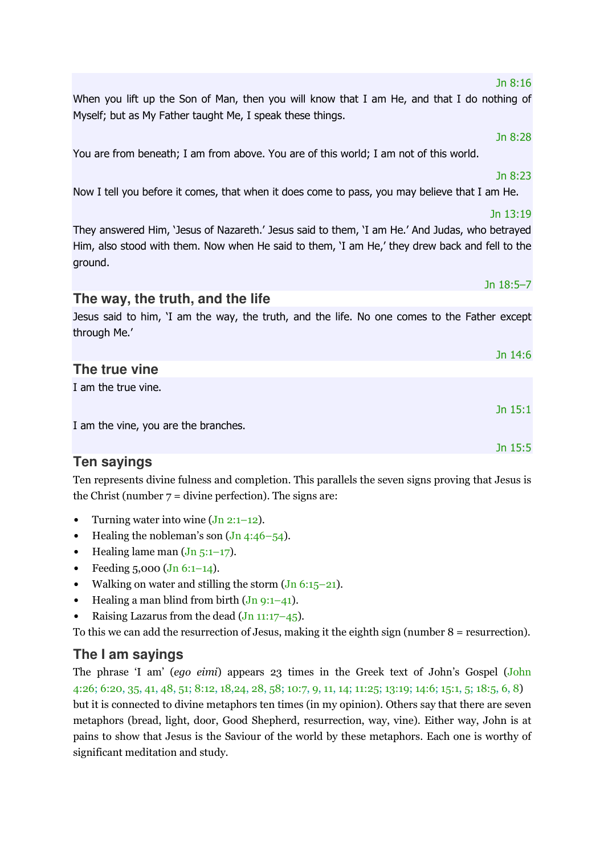## Jn 8:16

When you lift up the Son of Man, then you will know that I am He, and that I do nothing of Myself; but as My Father taught Me, I speak these things.

You are from beneath; I am from above. You are of this world; I am not of this world.

#### Jn 8:23

Jn 8:28

Now I tell you before it comes, that when it does come to pass, you may believe that I am He.

They answered Him, 'Jesus of Nazareth.' Jesus said to them, 'I am He.' And Judas, who betrayed Him, also stood with them. Now when He said to them, 'I am He,' they drew back and fell to the ground.

## **The way, the truth, and the life**

Jesus said to him, 'I am the way, the truth, and the life. No one comes to the Father except through Me.'

|                                      | Jn 14:6   |
|--------------------------------------|-----------|
| The true vine                        |           |
| I am the true vine.                  |           |
|                                      | Jn $15:1$ |
| I am the vine, you are the branches. |           |
|                                      | Jn $15:5$ |

## **Ten sayings**

Ten represents divine fulness and completion. This parallels the seven signs proving that Jesus is the Christ (number  $7 =$  divine perfection). The signs are:

- Turning water into wine  $(Jn 2:1-12)$ .
- Healing the nobleman's son  $($ Jn 4:46–54 $)$ .
- Healing lame man  $(Jn 5:1-17)$ .
- Feeding  $5,000$  (Jn  $6:1-14$ ).
- Walking on water and stilling the storm  $($ Jn 6:15–21 $)$ .
- Healing a man blind from birth  $(Jn 9:1-41)$ .
- Raising Lazarus from the dead  $(Jn 11:17-45)$ .

To this we can add the resurrection of Jesus, making it the eighth sign (number 8 = resurrection).

## **The I am sayings**

The phrase 'I am' (ego eimi) appears 23 times in the Greek text of John's Gospel (John 4:26; 6:20, 35, 41, 48, 51; 8:12, 18,24, 28, 58; 10:7, 9, 11, 14; 11:25; 13:19; 14:6; 15:1, 5; 18:5, 6, 8) but it is connected to divine metaphors ten times (in my opinion). Others say that there are seven metaphors (bread, light, door, Good Shepherd, resurrection, way, vine). Either way, John is at pains to show that Jesus is the Saviour of the world by these metaphors. Each one is worthy of significant meditation and study.

#### Jn 13:19

Jn 18:5–7